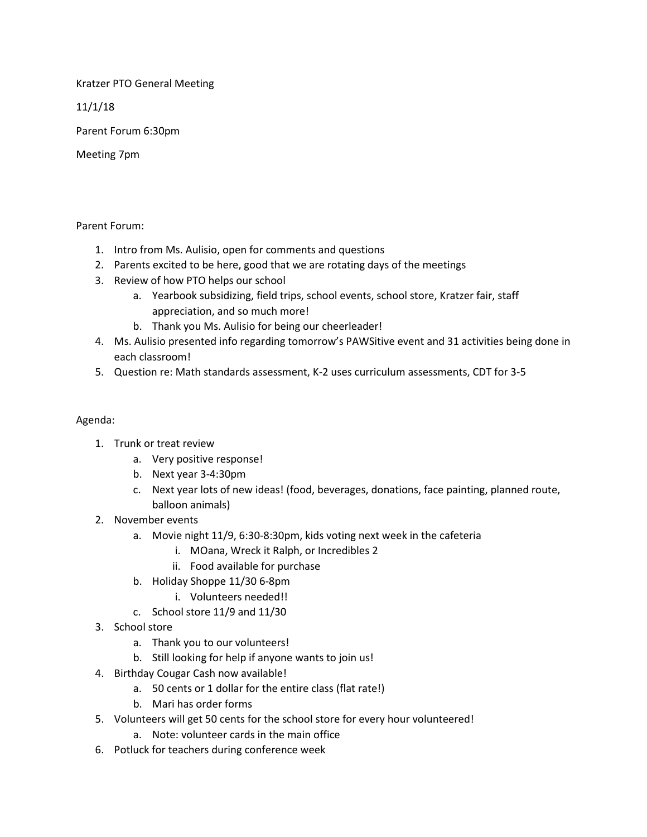Kratzer PTO General Meeting

11/1/18

Parent Forum 6:30pm

Meeting 7pm

#### Parent Forum:

- 1. Intro from Ms. Aulisio, open for comments and questions
- 2. Parents excited to be here, good that we are rotating days of the meetings
- 3. Review of how PTO helps our school
	- a. Yearbook subsidizing, field trips, school events, school store, Kratzer fair, staff appreciation, and so much more!
	- b. Thank you Ms. Aulisio for being our cheerleader!
- 4. Ms. Aulisio presented info regarding tomorrow's PAWSitive event and 31 activities being done in each classroom!
- 5. Question re: Math standards assessment, K-2 uses curriculum assessments, CDT for 3-5

### Agenda:

- 1. Trunk or treat review
	- a. Very positive response!
	- b. Next year 3-4:30pm
	- c. Next year lots of new ideas! (food, beverages, donations, face painting, planned route, balloon animals)
- 2. November events
	- a. Movie night 11/9, 6:30-8:30pm, kids voting next week in the cafeteria
		- i. MOana, Wreck it Ralph, or Incredibles 2
		- ii. Food available for purchase
	- b. Holiday Shoppe 11/30 6-8pm
		- i. Volunteers needed!!
	- c. School store 11/9 and 11/30
- 3. School store
	- a. Thank you to our volunteers!
	- b. Still looking for help if anyone wants to join us!
- 4. Birthday Cougar Cash now available!
	- a. 50 cents or 1 dollar for the entire class (flat rate!)
	- b. Mari has order forms
- 5. Volunteers will get 50 cents for the school store for every hour volunteered!
	- a. Note: volunteer cards in the main office
- 6. Potluck for teachers during conference week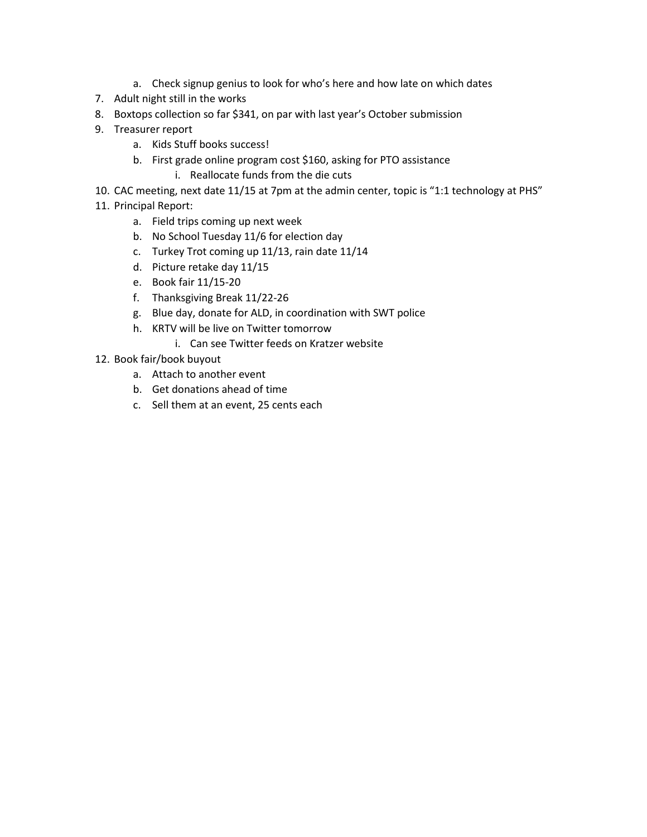- a. Check signup genius to look for who's here and how late on which dates
- 7. Adult night still in the works
- 8. Boxtops collection so far \$341, on par with last year's October submission
- 9. Treasurer report
	- a. Kids Stuff books success!
	- b. First grade online program cost \$160, asking for PTO assistance i. Reallocate funds from the die cuts
- 10. CAC meeting, next date 11/15 at 7pm at the admin center, topic is "1:1 technology at PHS"
- 11. Principal Report:
	- a. Field trips coming up next week
	- b. No School Tuesday 11/6 for election day
	- c. Turkey Trot coming up 11/13, rain date 11/14
	- d. Picture retake day 11/15
	- e. Book fair 11/15-20
	- f. Thanksgiving Break 11/22-26
	- g. Blue day, donate for ALD, in coordination with SWT police
	- h. KRTV will be live on Twitter tomorrow
		- i. Can see Twitter feeds on Kratzer website
- 12. Book fair/book buyout
	- a. Attach to another event
	- b. Get donations ahead of time
	- c. Sell them at an event, 25 cents each